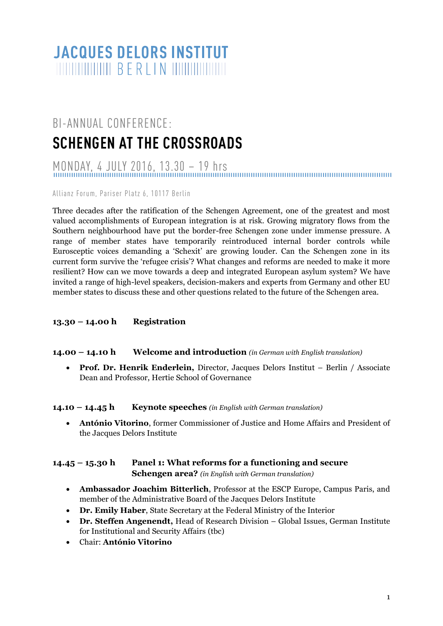# **JACQUES DELORS INSTITUT**

# BI-ANNUAL CONFERENCE: **SCHENGEN AT THE CROSSROADS**

MONDAY, 4 JULY 2016, 13.30 – 19 hrs

Allianz Forum, Paris er Platz 6, 10117 Berlin

Three decades after the ratification of the Schengen Agreement, one of the greatest and most valued accomplishments of European integration is at risk. Growing migratory flows from the Southern neighbourhood have put the border-free Schengen zone under immense pressure. A range of member states have temporarily reintroduced internal border controls while Eurosceptic voices demanding a 'Schexit' are growing louder. Can the Schengen zone in its current form survive the 'refugee crisis'? What changes and reforms are needed to make it more resilient? How can we move towards a deep and integrated European asylum system? We have invited a range of high-level speakers, decision-makers and experts from Germany and other EU member states to discuss these and other questions related to the future of the Schengen area.

## **13.30 – 14.00 h Registration**

#### **14.00 – 14.10 h Welcome and introduction** *(in German with English translation)*

 **Prof. Dr. Henrik Enderlein,** Director, Jacques Delors Institut – Berlin / Associate Dean and Professor, Hertie School of Governance

#### **14.10 – 14.45 h Keynote speeches** *(in English with German translation)*

 **António Vitorino**, former Commissioner of Justice and Home Affairs and President of the Jacques Delors Institute

### **14.45 – 15.30 h Panel 1: What reforms for a functioning and secure Schengen area?** *(in English with German translation)*

- **Ambassador Joachim Bitterlich**, Professor at the ESCP Europe, Campus Paris, and member of the Administrative Board of the Jacques Delors Institute
- **Dr. Emily Haber**, State Secretary at the Federal Ministry of the Interior
- **Dr. Steffen Angenendt,** Head of Research Division Global Issues, German Institute for Institutional and Security Affairs (tbc)
- Chair: **António Vitorino**